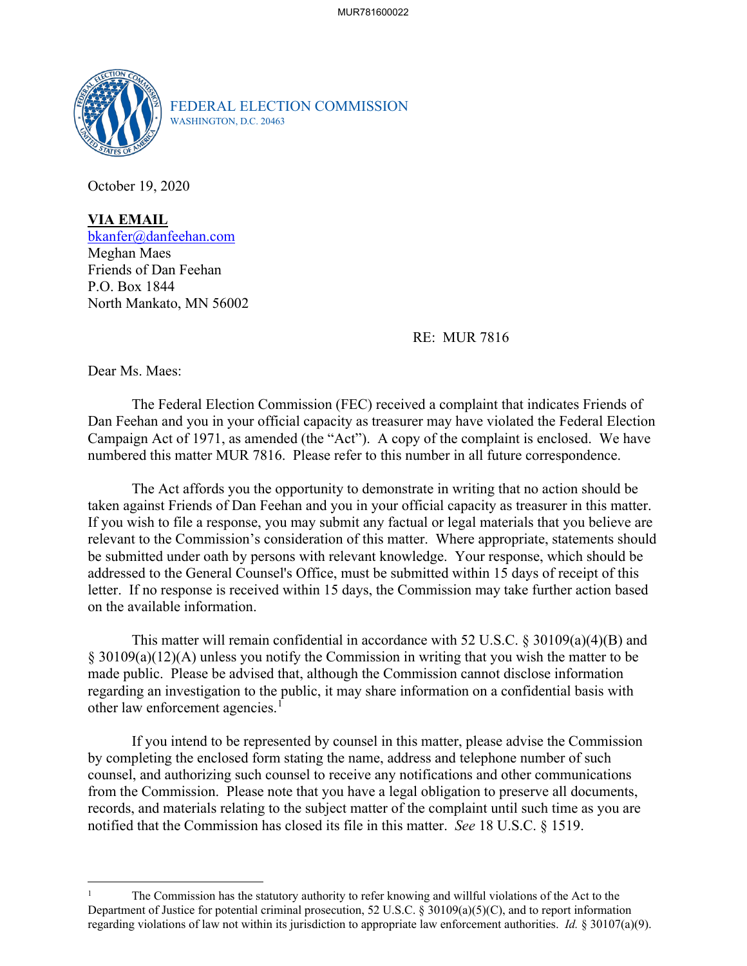

FEDERAL ELECTION COMMISSION WASHINGTON, D.C. 20463

October 19, 2020

**VIA EMAIL** [bkanfer@danfeehan.com](mailto:bkanfer@danfeehan.com) Meghan Maes Friends of Dan Feehan P.O. Box 1844 North Mankato, MN 56002

RE: MUR 7816

Dear Ms. Maes:

The Federal Election Commission (FEC) received a complaint that indicates Friends of Dan Feehan and you in your official capacity as treasurer may have violated the Federal Election Campaign Act of 1971, as amended (the "Act"). A copy of the complaint is enclosed. We have numbered this matter MUR 7816. Please refer to this number in all future correspondence.

The Act affords you the opportunity to demonstrate in writing that no action should be taken against Friends of Dan Feehan and you in your official capacity as treasurer in this matter. If you wish to file a response, you may submit any factual or legal materials that you believe are relevant to the Commission's consideration of this matter. Where appropriate, statements should be submitted under oath by persons with relevant knowledge. Your response, which should be addressed to the General Counsel's Office, must be submitted within 15 days of receipt of this letter. If no response is received within 15 days, the Commission may take further action based on the available information.

This matter will remain confidential in accordance with 52 U.S.C.  $\S 30109(a)(4)(B)$  and § 30109(a)(12)(A) unless you notify the Commission in writing that you wish the matter to be made public. Please be advised that, although the Commission cannot disclose information regarding an investigation to the public, it may share information on a confidential basis with other law enforcement agencies.<sup>[1](#page-0-0)</sup>

If you intend to be represented by counsel in this matter, please advise the Commission by completing the enclosed form stating the name, address and telephone number of such counsel, and authorizing such counsel to receive any notifications and other communications from the Commission. Please note that you have a legal obligation to preserve all documents, records, and materials relating to the subject matter of the complaint until such time as you are notified that the Commission has closed its file in this matter. *See* 18 U.S.C. § 1519.

<span id="page-0-0"></span><sup>1</sup> The Commission has the statutory authority to refer knowing and willful violations of the Act to the Department of Justice for potential criminal prosecution, 52 U.S.C. § 30109(a)(5)(C), and to report information regarding violations of law not within its jurisdiction to appropriate law enforcement authorities. *Id.* § 30107(a)(9).